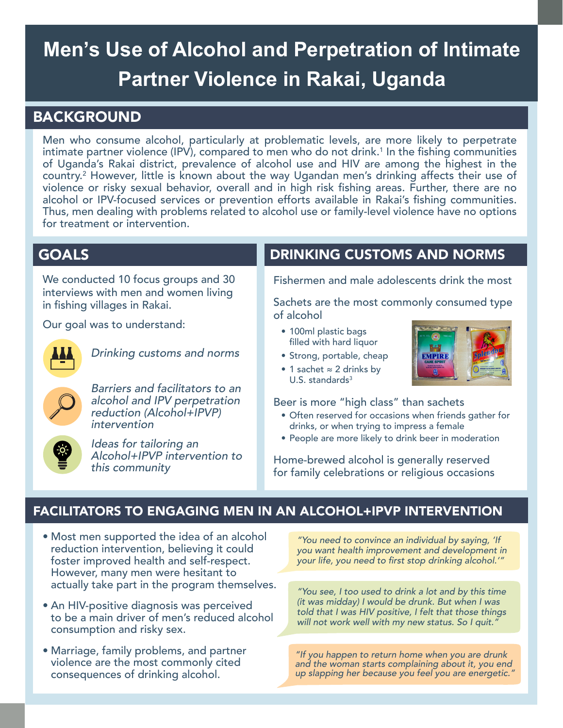# **Men's Use of Alcohol and Perpetration of Intimate Partner Violence in Rakai, Uganda**

# BACKGROUND

Men who consume alcohol, particularly at problematic levels, are more likely to perpetrate intimate partner violence (IPV), compared to men who do not drink. $^1$  In the fishing communities of Uganda's Rakai district, prevalence of alcohol use and HIV are among the highest in the country.<sup>2</sup> However, little is known about the way Ugandan men's drinking affects their use of violence or risky sexual behavior, overall and in high risk fishing areas. Further, there are no alcohol or IPV-focused services or prevention efforts available in Rakai's fishing communities. Thus, men dealing with problems related to alcohol use or family-level violence have no options for treatment or intervention.

# GOALS

We conducted 10 focus groups and 30 interviews with men and women living in fishing villages in Rakai.

Our goal was to understand:



Drinking customs and norms



Barriers and facilitators to an alcohol and IPV perpetration reduction (Alcohol+IPVP) intervention

| <u>-io:</u> |  |
|-------------|--|
|             |  |
|             |  |
|             |  |
|             |  |
|             |  |
|             |  |

Ideas for tailoring an Alcohol+IPVP intervention to this community

# DRINKING CUSTOMS AND NORMS

Fishermen and male adolescents drink the most

Sachets are the most commonly consumed type of alcohol

- 100ml plastic bags filled with hard liquor
- Strong, portable, cheap
- 1 sachet ≈ 2 drinks by U.S. standards $3$



Beer is more "high class" than sachets

- Often reserved for occasions when friends gather for drinks, or when trying to impress a female
- People are more likely to drink beer in moderation

Home-brewed alcohol is generally reserved for family celebrations or religious occasions

# FACILITATORS TO ENGAGING MEN IN AN ALCOHOL+IPVP INTERVENTION

- Most men supported the idea of an alcohol reduction intervention, believing it could foster improved health and self-respect. However, many men were hesitant to actually take part in the program themselves.
- An HIV-positive diagnosis was perceived to be a main driver of men's reduced alcohol consumption and risky sex.
- Marriage, family problems, and partner violence are the most commonly cited consequences of drinking alcohol.

"You need to convince an individual by saying, 'If you want health improvement and development in your life, you need to first stop drinking alcohol.'"

"You see, I too used to drink a lot and by this time (it was midday) I would be drunk. But when I was told that I was HIV positive, I felt that those things will not work well with my new status. So I quit."

"If you happen to return home when you are drunk and the woman starts complaining about it, you end up slapping her because you feel you are energetic."